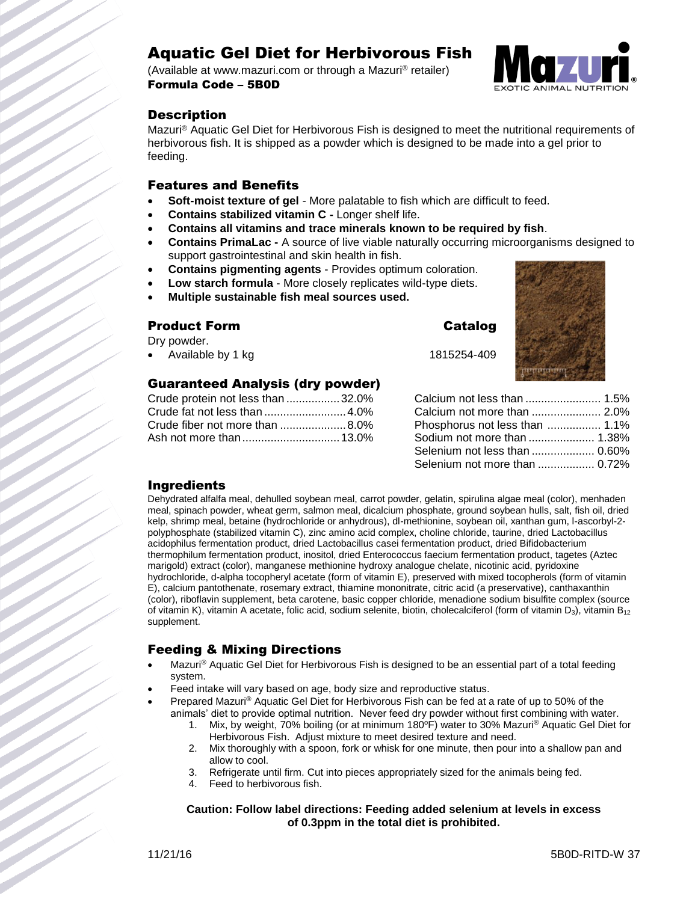# Aquatic Gel Diet for Herbivorous Fish

(Available at www.mazuri.com or through a Mazuri® retailer) Formula Code – 5B0D



## **Description**

Mazuri® Aquatic Gel Diet for Herbivorous Fish is designed to meet the nutritional requirements of herbivorous fish. It is shipped as a powder which is designed to be made into a gel prior to feeding.

#### Features and Benefits

- **Soft-moist texture of gel** More palatable to fish which are difficult to feed.
- **Contains stabilized vitamin C -** Longer shelf life.
- **Contains all vitamins and trace minerals known to be required by fish**.
- **Contains PrimaLac -** A source of live viable naturally occurring microorganisms designed to support gastrointestinal and skin health in fish.
- **Contains pigmenting agents** Provides optimum coloration.
- **Low starch formula** More closely replicates wild-type diets.
- **Multiple sustainable fish meal sources used.**

## **Product Form Catalog**

Dry powder.

Available by 1 kg 1815254-409

## Guaranteed Analysis (dry powder)

| Crude protein not less than  32.0% |  |
|------------------------------------|--|
|                                    |  |
|                                    |  |
|                                    |  |



| Calcium not less than  1.5%    |  |
|--------------------------------|--|
| Calcium not more than  2.0%    |  |
| Phosphorus not less than  1.1% |  |
| Sodium not more than  1.38%    |  |
| Selenium not less than  0.60%  |  |
| Selenium not more than  0.72%  |  |
|                                |  |

## Ingredients

Dehydrated alfalfa meal, dehulled soybean meal, carrot powder, gelatin, spirulina algae meal (color), menhaden meal, spinach powder, wheat germ, salmon meal, dicalcium phosphate, ground soybean hulls, salt, fish oil, dried kelp, shrimp meal, betaine (hydrochloride or anhydrous), dl-methionine, soybean oil, xanthan gum, l-ascorbyl-2 polyphosphate (stabilized vitamin C), zinc amino acid complex, choline chloride, taurine, dried Lactobacillus acidophilus fermentation product, dried Lactobacillus casei fermentation product, dried Bifidobacterium thermophilum fermentation product, inositol, dried Enterococcus faecium fermentation product, tagetes (Aztec marigold) extract (color), manganese methionine hydroxy analogue chelate, nicotinic acid, pyridoxine hydrochloride, d-alpha tocopheryl acetate (form of vitamin E), preserved with mixed tocopherols (form of vitamin E), calcium pantothenate, rosemary extract, thiamine mononitrate, citric acid (a preservative), canthaxanthin (color), riboflavin supplement, beta carotene, basic copper chloride, menadione sodium bisulfite complex (source of vitamin K), vitamin A acetate, folic acid, sodium selenite, biotin, cholecalciferol (form of vitamin  $D_3$ ), vitamin  $B_{12}$ supplement.

## Feeding & Mixing Directions

- Mazuri<sup>®</sup> Aquatic Gel Diet for Herbivorous Fish is designed to be an essential part of a total feeding system.
- Feed intake will vary based on age, body size and reproductive status.
- Prepared Mazuri® Aquatic Gel Diet for Herbivorous Fish can be fed at a rate of up to 50% of the animals' diet to provide optimal nutrition. Never feed dry powder without first combining with water.
	- 1. Mix, by weight, 70% boiling (or at minimum 180°F) water to 30% Mazuri® Aquatic Gel Diet for Herbivorous Fish. Adjust mixture to meet desired texture and need.
	- 2. Mix thoroughly with a spoon, fork or whisk for one minute, then pour into a shallow pan and allow to cool.
	- 3. Refrigerate until firm. Cut into pieces appropriately sized for the animals being fed.
	- 4. Feed to herbivorous fish.

#### **Caution: Follow label directions: Feeding added selenium at levels in excess of 0.3ppm in the total diet is prohibited.**